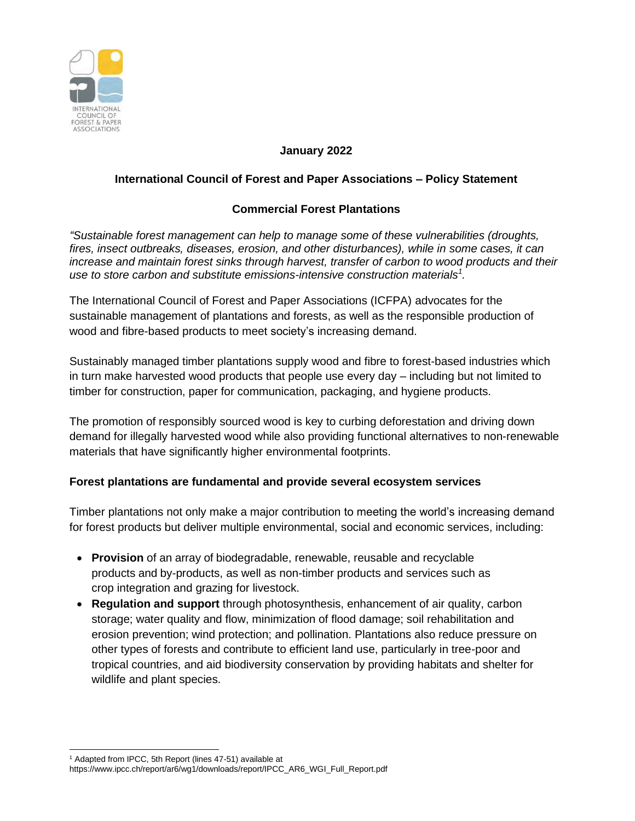

#### **January 2022**

# **International Council of Forest and Paper Associations – Policy Statement**

# **Commercial Forest Plantations**

*"Sustainable forest management can help to manage some of these vulnerabilities (droughts, fires, insect outbreaks, diseases, erosion, and other disturbances), while in some cases, it can increase and maintain forest sinks through harvest, transfer of carbon to wood products and their use to store carbon and substitute emissions-intensive construction materials<sup>1</sup> .*

The International Council of Forest and Paper Associations (ICFPA) advocates for the sustainable management of plantations and forests, as well as the responsible production of wood and fibre-based products to meet society's increasing demand.

Sustainably managed timber plantations supply wood and fibre to forest-based industries which in turn make harvested wood products that people use every day – including but not limited to timber for construction, paper for communication, packaging, and hygiene products.

The promotion of responsibly sourced wood is key to curbing deforestation and driving down demand for illegally harvested wood while also providing functional alternatives to non-renewable materials that have significantly higher environmental footprints.

## **Forest plantations are fundamental and provide several ecosystem services**

Timber plantations not only make a major contribution to meeting the world's increasing demand for forest products but deliver multiple environmental, social and economic services, including:

- **Provision** of an array of biodegradable, renewable, reusable and recyclable products and by-products, as well as non-timber products and services such as crop integration and grazing for livestock.
- **Regulation and support** through photosynthesis, enhancement of air quality, carbon storage; water quality and flow, minimization of flood damage; soil rehabilitation and erosion prevention; wind protection; and pollination. Plantations also reduce pressure on other types of forests and contribute to efficient land use, particularly in tree-poor and tropical countries, and aid biodiversity conservation by providing habitats and shelter for wildlife and plant species.

<sup>1</sup> Adapted from IPCC, 5th Report (lines 47-51) available at

https://www.ipcc.ch/report/ar6/wg1/downloads/report/IPCC\_AR6\_WGI\_Full\_Report.pdf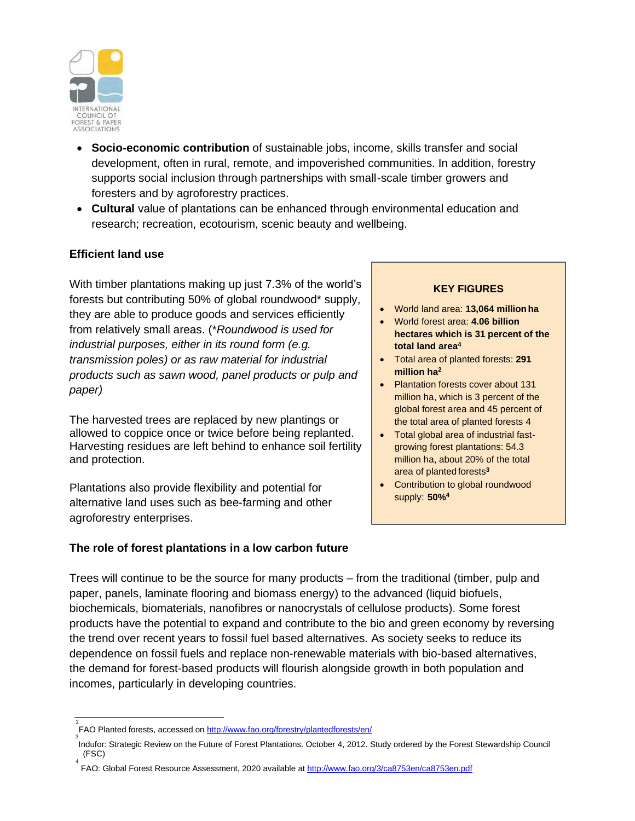

- **Socio-economic contribution** of sustainable jobs, income, skills transfer and social development, often in rural, remote, and impoverished communities. In addition, forestry supports social inclusion through partnerships with small-scale timber growers and foresters and by agroforestry practices.
- **Cultural** value of plantations can be enhanced through environmental education and research; recreation, ecotourism, scenic beauty and wellbeing.

## **Efficient land use**

With timber plantations making up just 7.3% of the world's forests but contributing 50% of global roundwood\* supply, they are able to produce goods and services efficiently from relatively small areas. (\**Roundwood is used for industrial purposes, either in its round form (e.g. transmission poles) or as raw material for industrial products such as sawn wood, panel products or pulp and paper)*

The harvested trees are replaced by new plantings or allowed to coppice once or twice before being replanted. Harvesting residues are left behind to enhance soil fertility and protection.

Plantations also provide flexibility and potential for alternative land uses such as bee-farming and other agroforestry enterprises.

#### **The role of forest plantations in a low carbon future**

#### **KEY FIGURES**

- World land area: **13,064 millionha**
- World forest area: **4.06 billion hectares which is 31 percent of the total land area<sup>4</sup>**
- Total area of planted forests: **291 million ha 2**
- Plantation forests cover about 131 million ha, which is 3 percent of the global forest area and 45 percent of the total area of planted forests 4
- Total global area of industrial fastgrowing forest plantations: 54.3 million ha, about 20% of the total area of planted forests**<sup>3</sup>**
- Contribution to global roundwood supply: **50%4**

Trees will continue to be the source for many products – from the traditional (timber, pulp and paper, panels, laminate flooring and biomass energy) to the advanced (liquid biofuels, biochemicals, biomaterials, nanofibres or nanocrystals of cellulose products). Some forest products have the potential to expand and contribute to the bio and green economy by reversing the trend over recent years to fossil fuel based alternatives. As society seeks to reduce its dependence on fossil fuels and replace non-renewable materials with bio-based alternatives, the demand for forest-based products will flourish alongside growth in both population and incomes, particularly in developing countries.

<sup>&</sup>lt;sup>2</sup><br>FAO Planted forests, accessed on <u>http://www.fao.org/forestry/plantedforests/en/</u>

<sup>3</sup> Indufor: Strategic Review on the Future of Forest Plantations. October 4, 2012. Study ordered by the Forest Stewardship Council (FSC)

<sup>4</sup> FAO: Global Forest Resource Assessment, 2020 available a[t http://www.fao.org/3/ca8753en/ca8753en.pdf](http://www.fao.org/3/ca8753en/ca8753en.pdf)